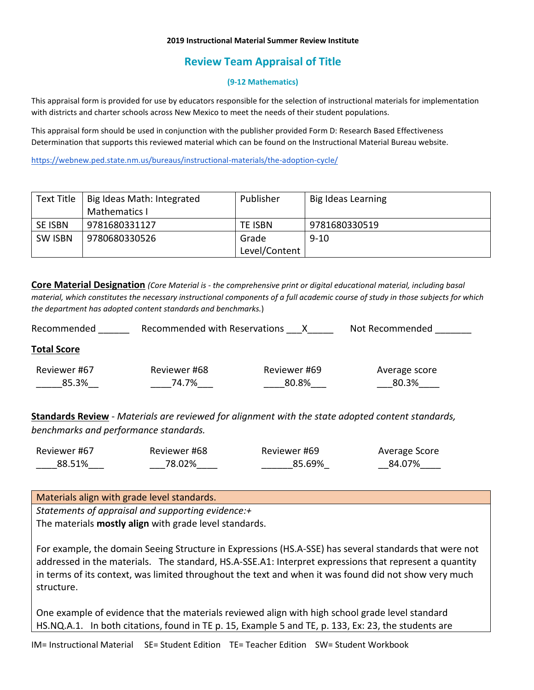### **2019 Instructional Material Summer Review Institute**

# **Review Team Appraisal of Title**

## **(9-12 Mathematics)**

This appraisal form is provided for use by educators responsible for the selection of instructional materials for implementation with districts and charter schools across New Mexico to meet the needs of their student populations.

This appraisal form should be used in conjunction with the publisher provided Form D: Research Based Effectiveness Determination that supports this reviewed material which can be found on the Instructional Material Bureau website.

<https://webnew.ped.state.nm.us/bureaus/instructional-materials/the-adoption-cycle/>

| Text Title     | Big Ideas Math: Integrated | Publisher     | Big Ideas Learning |
|----------------|----------------------------|---------------|--------------------|
|                | Mathematics I              |               |                    |
| <b>SE ISBN</b> | 9781680331127              | TE ISBN       | 9781680330519      |
| <b>SW ISBN</b> | 9780680330526              | Grade         | $9 - 10$           |
|                |                            | Level/Content |                    |

**Core Material Designation** *(Core Material is - the comprehensive print or digital educational material, including basal material, which constitutes the necessary instructional components of a full academic course of study in those subjects for which the department has adopted content standards and benchmarks.*)

| Recommended           | Recommended with Reservations |                       | Not Recommended        |
|-----------------------|-------------------------------|-----------------------|------------------------|
| <b>Total Score</b>    |                               |                       |                        |
| Reviewer #67<br>85.3% | Reviewer #68<br>74.7%         | Reviewer #69<br>80.8% | Average score<br>80.3% |

**Standards Review** - *Materials are reviewed for alignment with the state adopted content standards, benchmarks and performance standards.*

| Reviewer #67 | Reviewer #68 | Reviewer #69 | Average Score |
|--------------|--------------|--------------|---------------|
| 88.51%       | 78.02%       | 85.69%       | 84.07%        |

Materials align with grade level standards. *Statements of appraisal and supporting evidence:+* The materials **mostly align** with grade level standards.

For example, the domain Seeing Structure in Expressions (HS.A-SSE) has several standards that were not addressed in the materials. The standard, HS.A-SSE.A1: Interpret expressions that represent a quantity in terms of its context, was limited throughout the text and when it was found did not show very much structure.

One example of evidence that the materials reviewed align with high school grade level standard HS.NQ.A.1. In both citations, found in TE p. 15, Example 5 and TE, p. 133, Ex: 23, the students are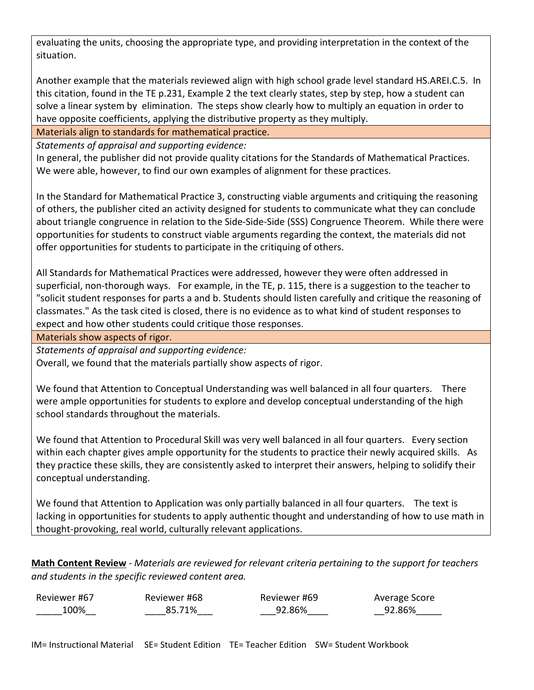evaluating the units, choosing the appropriate type, and providing interpretation in the context of the situation.

Another example that the materials reviewed align with high school grade level standard HS.AREI.C.5. In this citation, found in the TE p.231, Example 2 the text clearly states, step by step, how a student can solve a linear system by elimination. The steps show clearly how to multiply an equation in order to have opposite coefficients, applying the distributive property as they multiply.

Materials align to standards for mathematical practice.

*Statements of appraisal and supporting evidence:*

In general, the publisher did not provide quality citations for the Standards of Mathematical Practices. We were able, however, to find our own examples of alignment for these practices.

In the Standard for Mathematical Practice 3, constructing viable arguments and critiquing the reasoning of others, the publisher cited an activity designed for students to communicate what they can conclude about triangle congruence in relation to the Side-Side-Side (SSS) Congruence Theorem. While there were opportunities for students to construct viable arguments regarding the context, the materials did not offer opportunities for students to participate in the critiquing of others.

All Standards for Mathematical Practices were addressed, however they were often addressed in superficial, non-thorough ways. For example, in the TE, p. 115, there is a suggestion to the teacher to "solicit student responses for parts a and b. Students should listen carefully and critique the reasoning of classmates." As the task cited is closed, there is no evidence as to what kind of student responses to expect and how other students could critique those responses.

Materials show aspects of rigor.

*Statements of appraisal and supporting evidence:*

Overall, we found that the materials partially show aspects of rigor.

We found that Attention to Conceptual Understanding was well balanced in all four quarters. There were ample opportunities for students to explore and develop conceptual understanding of the high school standards throughout the materials.

We found that Attention to Procedural Skill was very well balanced in all four quarters. Every section within each chapter gives ample opportunity for the students to practice their newly acquired skills. As they practice these skills, they are consistently asked to interpret their answers, helping to solidify their conceptual understanding.

We found that Attention to Application was only partially balanced in all four quarters. The text is lacking in opportunities for students to apply authentic thought and understanding of how to use math in thought-provoking, real world, culturally relevant applications.

**Math Content Review** - *Materials are reviewed for relevant criteria pertaining to the support for teachers and students in the specific reviewed content area.*

| Reviewer #67 | Reviewer #68 | Reviewer #69 | Average Score |
|--------------|--------------|--------------|---------------|
| 100%         | 85.71%       | 92.86%       | 92.86%        |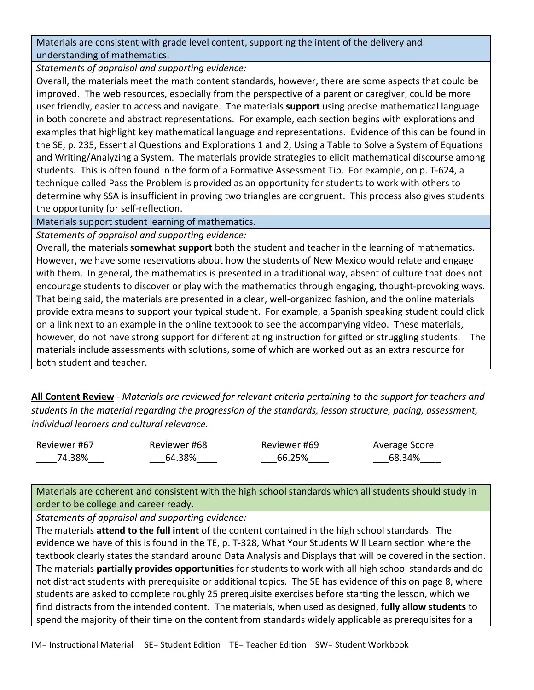Materials are consistent with grade level content, supporting the intent of the delivery and understanding of mathematics.

*Statements of appraisal and supporting evidence:*

Overall, the materials meet the math content standards, however, there are some aspects that could be improved. The web resources, especially from the perspective of a parent or caregiver, could be more user friendly, easier to access and navigate. The materials **support** using precise mathematical language in both concrete and abstract representations. For example, each section begins with explorations and examples that highlight key mathematical language and representations. Evidence of this can be found in the SE, p. 235, Essential Questions and Explorations 1 and 2, Using a Table to Solve a System of Equations and Writing/Analyzing a System. The materials provide strategies to elicit mathematical discourse among students. This is often found in the form of a Formative Assessment Tip. For example, on p. T-624, a technique called Pass the Problem is provided as an opportunity for students to work with others to determine why SSA is insufficient in proving two triangles are congruent. This process also gives students the opportunity for self-reflection.

Materials support student learning of mathematics.

*Statements of appraisal and supporting evidence:*

Overall, the materials **somewhat support** both the student and teacher in the learning of mathematics. However, we have some reservations about how the students of New Mexico would relate and engage with them. In general, the mathematics is presented in a traditional way, absent of culture that does not encourage students to discover or play with the mathematics through engaging, thought-provoking ways. That being said, the materials are presented in a clear, well-organized fashion, and the online materials provide extra means to support your typical student. For example, a Spanish speaking student could click on a link next to an example in the online textbook to see the accompanying video. These materials, however, do not have strong support for differentiating instruction for gifted or struggling students. The materials include assessments with solutions, some of which are worked out as an extra resource for both student and teacher.

**All Content Review** - *Materials are reviewed for relevant criteria pertaining to the support for teachers and students in the material regarding the progression of the standards, lesson structure, pacing, assessment, individual learners and cultural relevance.*

Reviewer #67 \_\_\_\_74.38%\_\_\_

Reviewer #68 \_\_\_64.38%\_\_\_\_

Reviewer #69  $\_$ 66.25% $\_$ 

Average Score  $-68.34\%$ 

Materials are coherent and consistent with the high school standards which all students should study in order to be college and career ready.

*Statements of appraisal and supporting evidence:* 

The materials **attend to the full intent** of the content contained in the high school standards. The evidence we have of this is found in the TE, p. T-328, What Your Students Will Learn section where the textbook clearly states the standard around Data Analysis and Displays that will be covered in the section. The materials **partially provides opportunities** for students to work with all high school standards and do not distract students with prerequisite or additional topics. The SE has evidence of this on page 8, where students are asked to complete roughly 25 prerequisite exercises before starting the lesson, which we find distracts from the intended content. The materials, when used as designed, **fully allow students** to spend the majority of their time on the content from standards widely applicable as prerequisites for a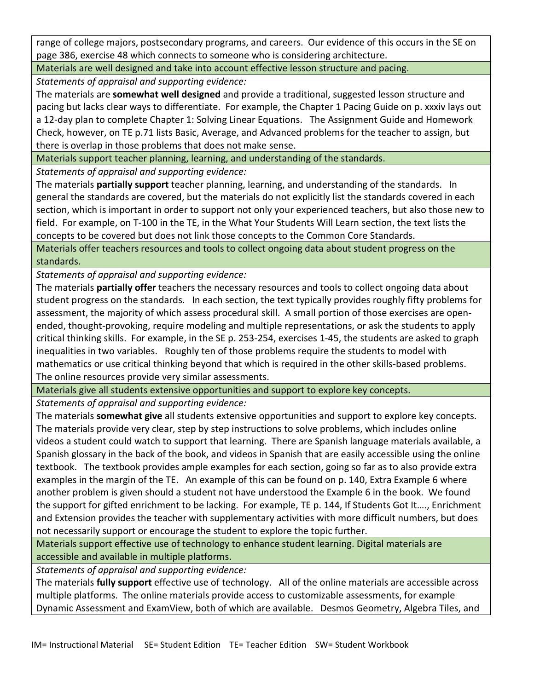range of college majors, postsecondary programs, and careers. Our evidence of this occurs in the SE on page 386, exercise 48 which connects to someone who is considering architecture.

Materials are well designed and take into account effective lesson structure and pacing.

*Statements of appraisal and supporting evidence:*

The materials are **somewhat well designed** and provide a traditional, suggested lesson structure and pacing but lacks clear ways to differentiate. For example, the Chapter 1 Pacing Guide on p. xxxiv lays out a 12-day plan to complete Chapter 1: Solving Linear Equations. The Assignment Guide and Homework Check, however, on TE p.71 lists Basic, Average, and Advanced problems for the teacher to assign, but there is overlap in those problems that does not make sense.

Materials support teacher planning, learning, and understanding of the standards.

*Statements of appraisal and supporting evidence:*

The materials **partially support** teacher planning, learning, and understanding of the standards. In general the standards are covered, but the materials do not explicitly list the standards covered in each section, which is important in order to support not only your experienced teachers, but also those new to field. For example, on T-100 in the TE, in the What Your Students Will Learn section, the text lists the concepts to be covered but does not link those concepts to the Common Core Standards.

Materials offer teachers resources and tools to collect ongoing data about student progress on the standards.

*Statements of appraisal and supporting evidence:*

The materials **partially offer** teachers the necessary resources and tools to collect ongoing data about student progress on the standards. In each section, the text typically provides roughly fifty problems for assessment, the majority of which assess procedural skill. A small portion of those exercises are openended, thought-provoking, require modeling and multiple representations, or ask the students to apply critical thinking skills. For example, in the SE p. 253-254, exercises 1-45, the students are asked to graph inequalities in two variables. Roughly ten of those problems require the students to model with mathematics or use critical thinking beyond that which is required in the other skills-based problems. The online resources provide very similar assessments.

Materials give all students extensive opportunities and support to explore key concepts.

*Statements of appraisal and supporting evidence:*

The materials **somewhat give** all students extensive opportunities and support to explore key concepts. The materials provide very clear, step by step instructions to solve problems, which includes online videos a student could watch to support that learning. There are Spanish language materials available, a Spanish glossary in the back of the book, and videos in Spanish that are easily accessible using the online textbook. The textbook provides ample examples for each section, going so far as to also provide extra examples in the margin of the TE. An example of this can be found on p. 140, Extra Example 6 where another problem is given should a student not have understood the Example 6 in the book. We found the support for gifted enrichment to be lacking. For example, TE p. 144, If Students Got It…., Enrichment and Extension provides the teacher with supplementary activities with more difficult numbers, but does not necessarily support or encourage the student to explore the topic further.

Materials support effective use of technology to enhance student learning. Digital materials are accessible and available in multiple platforms.

*Statements of appraisal and supporting evidence:*

The materials **fully support** effective use of technology. All of the online materials are accessible across multiple platforms. The online materials provide access to customizable assessments, for example Dynamic Assessment and ExamView, both of which are available. Desmos Geometry, Algebra Tiles, and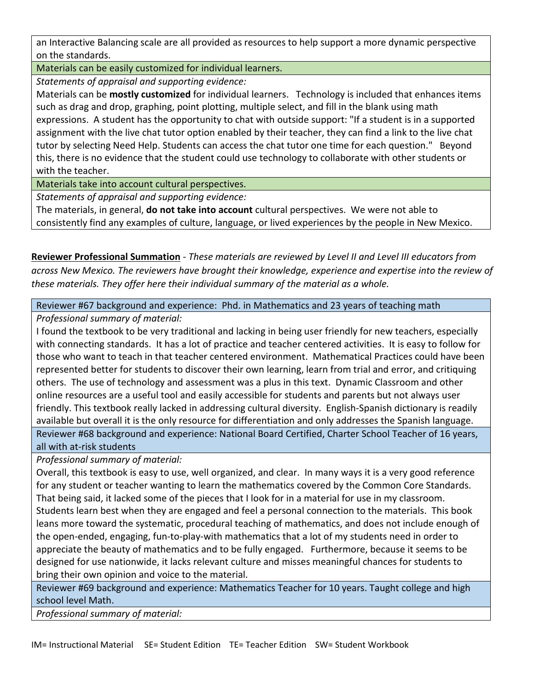an Interactive Balancing scale are all provided as resources to help support a more dynamic perspective on the standards.

Materials can be easily customized for individual learners.

*Statements of appraisal and supporting evidence:*

Materials can be **mostly customized** for individual learners. Technology is included that enhances items such as drag and drop, graphing, point plotting, multiple select, and fill in the blank using math expressions. A student has the opportunity to chat with outside support: "If a student is in a supported assignment with the live chat tutor option enabled by their teacher, they can find a link to the live chat tutor by selecting Need Help. Students can access the chat tutor one time for each question." Beyond this, there is no evidence that the student could use technology to collaborate with other students or with the teacher.

Materials take into account cultural perspectives.

*Statements of appraisal and supporting evidence:*

The materials, in general, **do not take into account** cultural perspectives. We were not able to consistently find any examples of culture, language, or lived experiences by the people in New Mexico.

**Reviewer Professional Summation** - *These materials are reviewed by Level II and Level III educators from across New Mexico. The reviewers have brought their knowledge, experience and expertise into the review of these materials. They offer here their individual summary of the material as a whole.* 

Reviewer #67 background and experience: Phd. in Mathematics and 23 years of teaching math

## *Professional summary of material:*

I found the textbook to be very traditional and lacking in being user friendly for new teachers, especially with connecting standards. It has a lot of practice and teacher centered activities. It is easy to follow for those who want to teach in that teacher centered environment. Mathematical Practices could have been represented better for students to discover their own learning, learn from trial and error, and critiquing others. The use of technology and assessment was a plus in this text. Dynamic Classroom and other online resources are a useful tool and easily accessible for students and parents but not always user friendly. This textbook really lacked in addressing cultural diversity. English-Spanish dictionary is readily available but overall it is the only resource for differentiation and only addresses the Spanish language. Reviewer #68 background and experience: National Board Certified, Charter School Teacher of 16 years, all with at-risk students

*Professional summary of material:*

Overall, this textbook is easy to use, well organized, and clear. In many ways it is a very good reference for any student or teacher wanting to learn the mathematics covered by the Common Core Standards. That being said, it lacked some of the pieces that I look for in a material for use in my classroom. Students learn best when they are engaged and feel a personal connection to the materials. This book leans more toward the systematic, procedural teaching of mathematics, and does not include enough of the open-ended, engaging, fun-to-play-with mathematics that a lot of my students need in order to appreciate the beauty of mathematics and to be fully engaged. Furthermore, because it seems to be designed for use nationwide, it lacks relevant culture and misses meaningful chances for students to bring their own opinion and voice to the material.

Reviewer #69 background and experience: Mathematics Teacher for 10 years. Taught college and high school level Math.

*Professional summary of material:*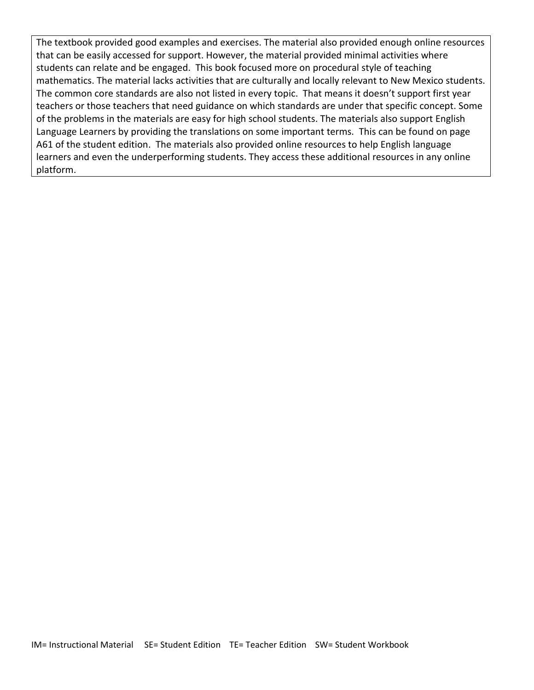The textbook provided good examples and exercises. The material also provided enough online resources that can be easily accessed for support. However, the material provided minimal activities where students can relate and be engaged. This book focused more on procedural style of teaching mathematics. The material lacks activities that are culturally and locally relevant to New Mexico students. The common core standards are also not listed in every topic. That means it doesn't support first year teachers or those teachers that need guidance on which standards are under that specific concept. Some of the problems in the materials are easy for high school students. The materials also support English Language Learners by providing the translations on some important terms. This can be found on page A61 of the student edition. The materials also provided online resources to help English language learners and even the underperforming students. They access these additional resources in any online platform.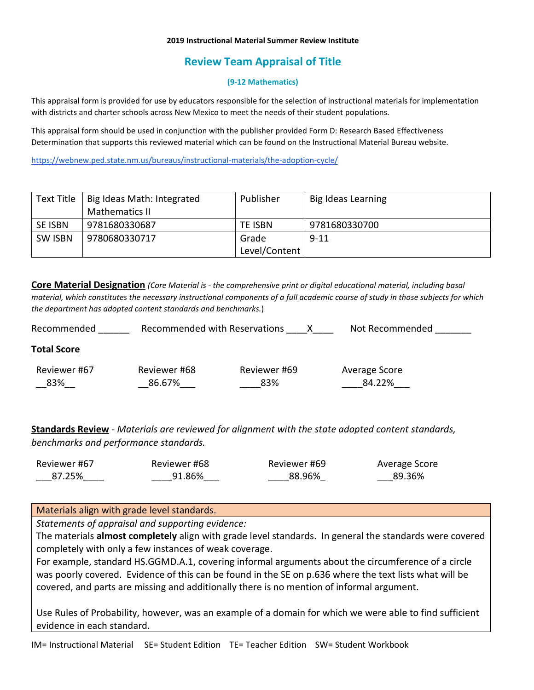### **2019 Instructional Material Summer Review Institute**

# **Review Team Appraisal of Title**

## **(9-12 Mathematics)**

This appraisal form is provided for use by educators responsible for the selection of instructional materials for implementation with districts and charter schools across New Mexico to meet the needs of their student populations.

This appraisal form should be used in conjunction with the publisher provided Form D: Research Based Effectiveness Determination that supports this reviewed material which can be found on the Instructional Material Bureau website.

<https://webnew.ped.state.nm.us/bureaus/instructional-materials/the-adoption-cycle/>

| Text Title     | Big Ideas Math: Integrated | Publisher     | Big Ideas Learning |
|----------------|----------------------------|---------------|--------------------|
|                | <b>Mathematics II</b>      |               |                    |
| <b>SE ISBN</b> | 9781680330687              | TE ISBN       | 9781680330700      |
| <b>SW ISBN</b> | 9780680330717              | Grade         | $9 - 11$           |
|                |                            | Level/Content |                    |

**Core Material Designation** *(Core Material is - the comprehensive print or digital educational material, including basal material, which constitutes the necessary instructional components of a full academic course of study in those subjects for which the department has adopted content standards and benchmarks.*)

| Recommended        | Recommended with Reservations |              | Not Recommended |
|--------------------|-------------------------------|--------------|-----------------|
| <b>Total Score</b> |                               |              |                 |
| Reviewer #67       | Reviewer #68                  | Reviewer #69 | Average Score   |
| 83%                | 86.67%                        | 83%          | 84.22%          |
|                    |                               |              |                 |

**Standards Review** - *Materials are reviewed for alignment with the state adopted content standards, benchmarks and performance standards.*

| Reviewer #67 | Reviewer #68 | Reviewer #69 | Average Score |
|--------------|--------------|--------------|---------------|
| 87.25%       | 91.86%       | 88.96%       | 89.36%        |

## Materials align with grade level standards.

*Statements of appraisal and supporting evidence:*

The materials **almost completely** align with grade level standards. In general the standards were covered completely with only a few instances of weak coverage.

For example, standard HS.GGMD.A.1, covering informal arguments about the circumference of a circle was poorly covered. Evidence of this can be found in the SE on p.636 where the text lists what will be covered, and parts are missing and additionally there is no mention of informal argument.

Use Rules of Probability, however, was an example of a domain for which we were able to find sufficient evidence in each standard.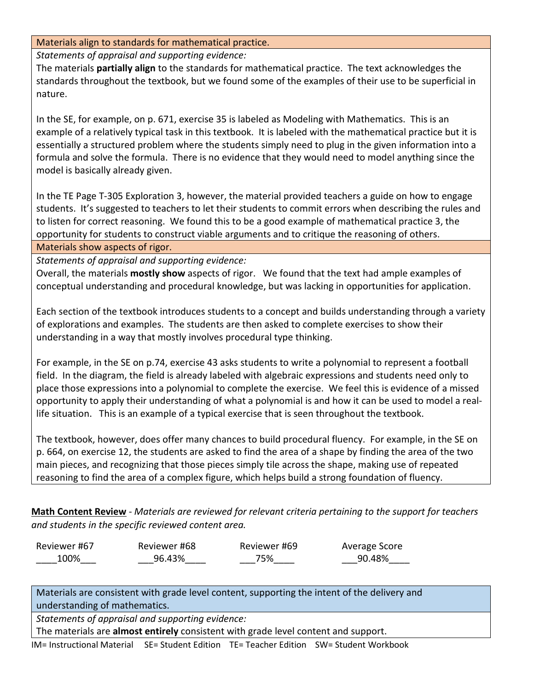Materials align to standards for mathematical practice.

*Statements of appraisal and supporting evidence:*

The materials **partially align** to the standards for mathematical practice. The text acknowledges the standards throughout the textbook, but we found some of the examples of their use to be superficial in nature.

In the SE, for example, on p. 671, exercise 35 is labeled as Modeling with Mathematics. This is an example of a relatively typical task in this textbook. It is labeled with the mathematical practice but it is essentially a structured problem where the students simply need to plug in the given information into a formula and solve the formula. There is no evidence that they would need to model anything since the model is basically already given.

In the TE Page T-305 Exploration 3, however, the material provided teachers a guide on how to engage students. It's suggested to teachers to let their students to commit errors when describing the rules and to listen for correct reasoning. We found this to be a good example of mathematical practice 3, the opportunity for students to construct viable arguments and to critique the reasoning of others.

Materials show aspects of rigor.

*Statements of appraisal and supporting evidence:*

Overall, the materials **mostly show** aspects of rigor. We found that the text had ample examples of conceptual understanding and procedural knowledge, but was lacking in opportunities for application.

Each section of the textbook introduces students to a concept and builds understanding through a variety of explorations and examples. The students are then asked to complete exercises to show their understanding in a way that mostly involves procedural type thinking.

For example, in the SE on p.74, exercise 43 asks students to write a polynomial to represent a football field. In the diagram, the field is already labeled with algebraic expressions and students need only to place those expressions into a polynomial to complete the exercise. We feel this is evidence of a missed opportunity to apply their understanding of what a polynomial is and how it can be used to model a reallife situation. This is an example of a typical exercise that is seen throughout the textbook.

The textbook, however, does offer many chances to build procedural fluency. For example, in the SE on p. 664, on exercise 12, the students are asked to find the area of a shape by finding the area of the two main pieces, and recognizing that those pieces simply tile across the shape, making use of repeated reasoning to find the area of a complex figure, which helps build a strong foundation of fluency.

**Math Content Review** - *Materials are reviewed for relevant criteria pertaining to the support for teachers and students in the specific reviewed content area.*

| Reviewer #67 | Reviewer #68 | Reviewer #69 | Average Score |
|--------------|--------------|--------------|---------------|
| 100%         | 96.43%       | 75%          | 90.48%        |

Materials are consistent with grade level content, supporting the intent of the delivery and understanding of mathematics.

*Statements of appraisal and supporting evidence:*

The materials are **almost entirely** consistent with grade level content and support.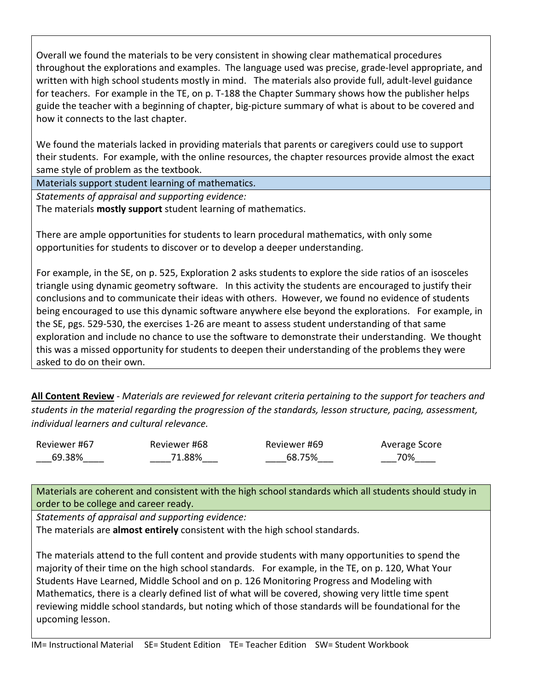Overall we found the materials to be very consistent in showing clear mathematical procedures throughout the explorations and examples. The language used was precise, grade-level appropriate, and written with high school students mostly in mind. The materials also provide full, adult-level guidance for teachers. For example in the TE, on p. T-188 the Chapter Summary shows how the publisher helps guide the teacher with a beginning of chapter, big-picture summary of what is about to be covered and how it connects to the last chapter.

We found the materials lacked in providing materials that parents or caregivers could use to support their students. For example, with the online resources, the chapter resources provide almost the exact same style of problem as the textbook.

Materials support student learning of mathematics.

*Statements of appraisal and supporting evidence:* The materials **mostly support** student learning of mathematics.

There are ample opportunities for students to learn procedural mathematics, with only some opportunities for students to discover or to develop a deeper understanding.

For example, in the SE, on p. 525, Exploration 2 asks students to explore the side ratios of an isosceles triangle using dynamic geometry software. In this activity the students are encouraged to justify their conclusions and to communicate their ideas with others. However, we found no evidence of students being encouraged to use this dynamic software anywhere else beyond the explorations. For example, in the SE, pgs. 529-530, the exercises 1-26 are meant to assess student understanding of that same exploration and include no chance to use the software to demonstrate their understanding. We thought this was a missed opportunity for students to deepen their understanding of the problems they were asked to do on their own.

**All Content Review** - *Materials are reviewed for relevant criteria pertaining to the support for teachers and students in the material regarding the progression of the standards, lesson structure, pacing, assessment, individual learners and cultural relevance.*

Reviewer #67 \_\_\_69.38%\_\_\_\_ Reviewer #68 \_\_\_\_71.88%\_\_\_ Reviewer #69 \_\_\_\_68.75%\_\_\_ Average Score \_\_\_70%\_\_\_\_

Materials are coherent and consistent with the high school standards which all students should study in order to be college and career ready.

*Statements of appraisal and supporting evidence:*

The materials are **almost entirely** consistent with the high school standards.

The materials attend to the full content and provide students with many opportunities to spend the majority of their time on the high school standards. For example, in the TE, on p. 120, What Your Students Have Learned, Middle School and on p. 126 Monitoring Progress and Modeling with Mathematics, there is a clearly defined list of what will be covered, showing very little time spent reviewing middle school standards, but noting which of those standards will be foundational for the upcoming lesson.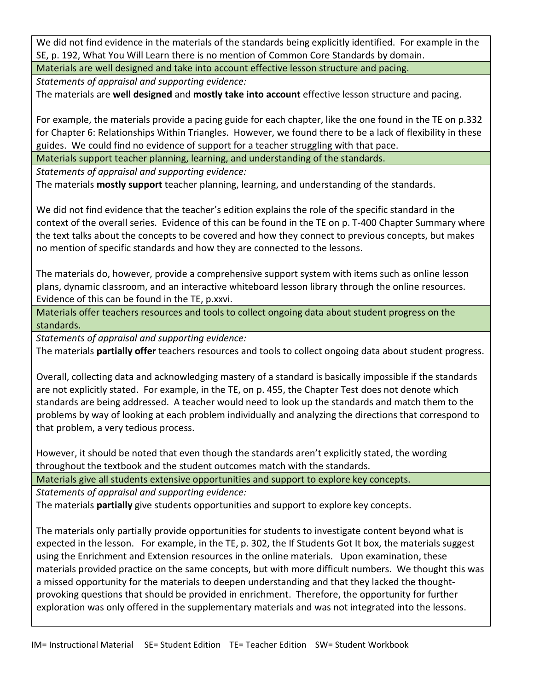We did not find evidence in the materials of the standards being explicitly identified. For example in the SE, p. 192, What You Will Learn there is no mention of Common Core Standards by domain.

Materials are well designed and take into account effective lesson structure and pacing.

*Statements of appraisal and supporting evidence:*

The materials are **well designed** and **mostly take into account** effective lesson structure and pacing.

For example, the materials provide a pacing guide for each chapter, like the one found in the TE on p.332 for Chapter 6: Relationships Within Triangles. However, we found there to be a lack of flexibility in these guides. We could find no evidence of support for a teacher struggling with that pace.

Materials support teacher planning, learning, and understanding of the standards.

*Statements of appraisal and supporting evidence:*

The materials **mostly support** teacher planning, learning, and understanding of the standards.

We did not find evidence that the teacher's edition explains the role of the specific standard in the context of the overall series. Evidence of this can be found in the TE on p. T-400 Chapter Summary where the text talks about the concepts to be covered and how they connect to previous concepts, but makes no mention of specific standards and how they are connected to the lessons.

The materials do, however, provide a comprehensive support system with items such as online lesson plans, dynamic classroom, and an interactive whiteboard lesson library through the online resources. Evidence of this can be found in the TE, p.xxvi.

Materials offer teachers resources and tools to collect ongoing data about student progress on the standards.

*Statements of appraisal and supporting evidence:*

The materials **partially offer** teachers resources and tools to collect ongoing data about student progress.

Overall, collecting data and acknowledging mastery of a standard is basically impossible if the standards are not explicitly stated. For example, in the TE, on p. 455, the Chapter Test does not denote which standards are being addressed. A teacher would need to look up the standards and match them to the problems by way of looking at each problem individually and analyzing the directions that correspond to that problem, a very tedious process.

However, it should be noted that even though the standards aren't explicitly stated, the wording throughout the textbook and the student outcomes match with the standards.

Materials give all students extensive opportunities and support to explore key concepts.

*Statements of appraisal and supporting evidence:*

The materials **partially** give students opportunities and support to explore key concepts.

The materials only partially provide opportunities for students to investigate content beyond what is expected in the lesson. For example, in the TE, p. 302, the If Students Got It box, the materials suggest using the Enrichment and Extension resources in the online materials. Upon examination, these materials provided practice on the same concepts, but with more difficult numbers. We thought this was a missed opportunity for the materials to deepen understanding and that they lacked the thoughtprovoking questions that should be provided in enrichment. Therefore, the opportunity for further exploration was only offered in the supplementary materials and was not integrated into the lessons.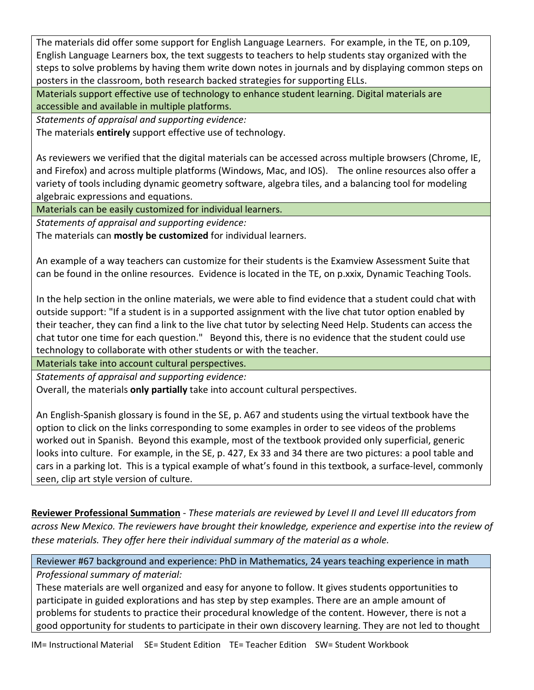The materials did offer some support for English Language Learners. For example, in the TE, on p.109, English Language Learners box, the text suggests to teachers to help students stay organized with the steps to solve problems by having them write down notes in journals and by displaying common steps on posters in the classroom, both research backed strategies for supporting ELLs.

Materials support effective use of technology to enhance student learning. Digital materials are accessible and available in multiple platforms.

*Statements of appraisal and supporting evidence:*

The materials **entirely** support effective use of technology.

As reviewers we verified that the digital materials can be accessed across multiple browsers (Chrome, IE, and Firefox) and across multiple platforms (Windows, Mac, and IOS). The online resources also offer a variety of tools including dynamic geometry software, algebra tiles, and a balancing tool for modeling algebraic expressions and equations.

Materials can be easily customized for individual learners.

*Statements of appraisal and supporting evidence:*

The materials can **mostly be customized** for individual learners.

An example of a way teachers can customize for their students is the Examview Assessment Suite that can be found in the online resources. Evidence is located in the TE, on p.xxix, Dynamic Teaching Tools.

In the help section in the online materials, we were able to find evidence that a student could chat with outside support: "If a student is in a supported assignment with the live chat tutor option enabled by their teacher, they can find a link to the live chat tutor by selecting Need Help. Students can access the chat tutor one time for each question." Beyond this, there is no evidence that the student could use technology to collaborate with other students or with the teacher.

Materials take into account cultural perspectives.

*Statements of appraisal and supporting evidence:*

Overall, the materials **only partially** take into account cultural perspectives.

An English-Spanish glossary is found in the SE, p. A67 and students using the virtual textbook have the option to click on the links corresponding to some examples in order to see videos of the problems worked out in Spanish. Beyond this example, most of the textbook provided only superficial, generic looks into culture. For example, in the SE, p. 427, Ex 33 and 34 there are two pictures: a pool table and cars in a parking lot. This is a typical example of what's found in this textbook, a surface-level, commonly seen, clip art style version of culture.

**Reviewer Professional Summation** - *These materials are reviewed by Level II and Level III educators from across New Mexico. The reviewers have brought their knowledge, experience and expertise into the review of these materials. They offer here their individual summary of the material as a whole.* 

Reviewer #67 background and experience: PhD in Mathematics, 24 years teaching experience in math

*Professional summary of material:*

These materials are well organized and easy for anyone to follow. It gives students opportunities to participate in guided explorations and has step by step examples. There are an ample amount of problems for students to practice their procedural knowledge of the content. However, there is not a good opportunity for students to participate in their own discovery learning. They are not led to thought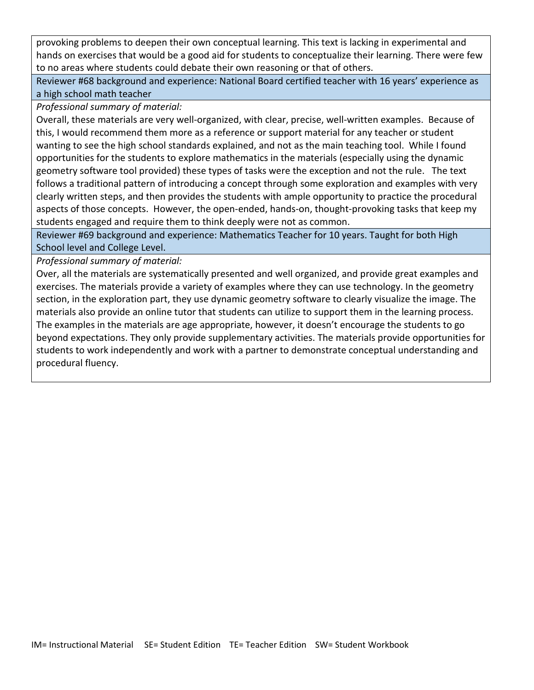provoking problems to deepen their own conceptual learning. This text is lacking in experimental and hands on exercises that would be a good aid for students to conceptualize their learning. There were few to no areas where students could debate their own reasoning or that of others.

Reviewer #68 background and experience: National Board certified teacher with 16 years' experience as a high school math teacher

*Professional summary of material:*

Overall, these materials are very well-organized, with clear, precise, well-written examples. Because of this, I would recommend them more as a reference or support material for any teacher or student wanting to see the high school standards explained, and not as the main teaching tool. While I found opportunities for the students to explore mathematics in the materials (especially using the dynamic geometry software tool provided) these types of tasks were the exception and not the rule. The text follows a traditional pattern of introducing a concept through some exploration and examples with very clearly written steps, and then provides the students with ample opportunity to practice the procedural aspects of those concepts. However, the open-ended, hands-on, thought-provoking tasks that keep my students engaged and require them to think deeply were not as common.

Reviewer #69 background and experience: Mathematics Teacher for 10 years. Taught for both High School level and College Level.

*Professional summary of material:*

Over, all the materials are systematically presented and well organized, and provide great examples and exercises. The materials provide a variety of examples where they can use technology. In the geometry section, in the exploration part, they use dynamic geometry software to clearly visualize the image. The materials also provide an online tutor that students can utilize to support them in the learning process. The examples in the materials are age appropriate, however, it doesn't encourage the students to go beyond expectations. They only provide supplementary activities. The materials provide opportunities for students to work independently and work with a partner to demonstrate conceptual understanding and procedural fluency.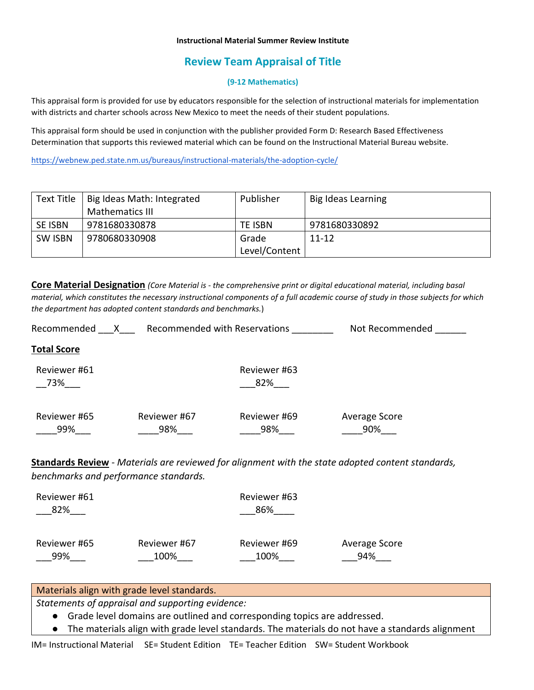#### **Instructional Material Summer Review Institute**

# **Review Team Appraisal of Title**

## **(9-12 Mathematics)**

This appraisal form is provided for use by educators responsible for the selection of instructional materials for implementation with districts and charter schools across New Mexico to meet the needs of their student populations.

This appraisal form should be used in conjunction with the publisher provided Form D: Research Based Effectiveness Determination that supports this reviewed material which can be found on the Instructional Material Bureau website.

<https://webnew.ped.state.nm.us/bureaus/instructional-materials/the-adoption-cycle/>

| Text Title     | Big Ideas Math: Integrated | Publisher     | Big Ideas Learning |
|----------------|----------------------------|---------------|--------------------|
|                | Mathematics III            |               |                    |
| <b>SE ISBN</b> | 9781680330878              | TE ISBN       | 9781680330892      |
| <b>SW ISBN</b> | 9780680330908              | Grade         | $11 - 12$          |
|                |                            | Level/Content |                    |

**Core Material Designation** *(Core Material is - the comprehensive print or digital educational material, including basal material, which constitutes the necessary instructional components of a full academic course of study in those subjects for which the department has adopted content standards and benchmarks.*)

| X<br>Recommended       |                     | Recommended with Reservations | Not Recommended                                                                                          |
|------------------------|---------------------|-------------------------------|----------------------------------------------------------------------------------------------------------|
| <b>Total Score</b>     |                     |                               |                                                                                                          |
| Reviewer #61<br>73%___ |                     | Reviewer #63<br>82%           |                                                                                                          |
| Reviewer #65<br>99%    | Reviewer #67<br>98% | Reviewer #69<br>98%           | Average Score<br>90%                                                                                     |
|                        |                     |                               | <b>Standards Review</b> - Materials are reviewed for alignment with the state adopted content standards, |

*benchmarks and performance standards.*

| Reviewer #61<br>82% |              | Reviewer #63<br>86% |               |
|---------------------|--------------|---------------------|---------------|
| Reviewer #65        | Reviewer #67 | Reviewer #69        | Average Score |
| 99%                 | 100%         | 100%                | 94%           |

## Materials align with grade level standards.

*Statements of appraisal and supporting evidence:*

- Grade level domains are outlined and corresponding topics are addressed.
- The materials align with grade level standards. The materials do not have a standards alignment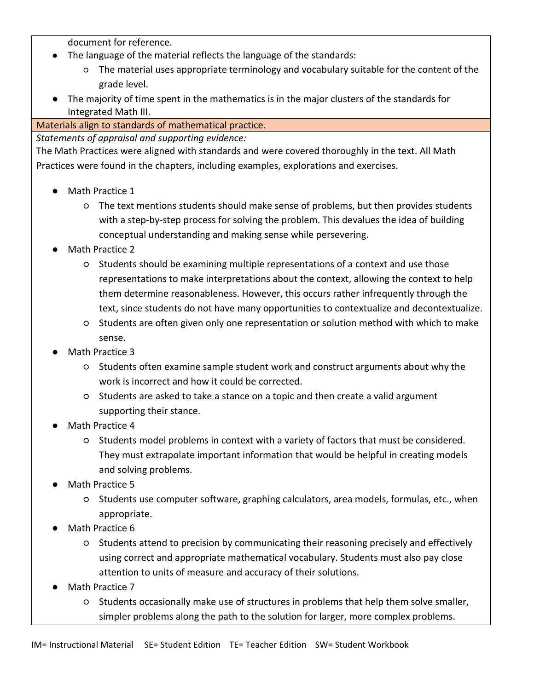document for reference.

- The language of the material reflects the language of the standards:
	- The material uses appropriate terminology and vocabulary suitable for the content of the grade level.
- The majority of time spent in the mathematics is in the major clusters of the standards for Integrated Math III.

Materials align to standards of mathematical practice.

*Statements of appraisal and supporting evidence:*

The Math Practices were aligned with standards and were covered thoroughly in the text. All Math Practices were found in the chapters, including examples, explorations and exercises.

- Math Practice 1
	- The text mentions students should make sense of problems, but then provides students with a step-by-step process for solving the problem. This devalues the idea of building conceptual understanding and making sense while persevering.
- Math Practice 2
	- Students should be examining multiple representations of a context and use those representations to make interpretations about the context, allowing the context to help them determine reasonableness. However, this occurs rather infrequently through the text, since students do not have many opportunities to contextualize and decontextualize.
	- Students are often given only one representation or solution method with which to make sense.
- Math Practice 3
	- Students often examine sample student work and construct arguments about why the work is incorrect and how it could be corrected.
	- Students are asked to take a stance on a topic and then create a valid argument supporting their stance.
- Math Practice 4
	- Students model problems in context with a variety of factors that must be considered. They must extrapolate important information that would be helpful in creating models and solving problems.
- Math Practice 5
	- Students use computer software, graphing calculators, area models, formulas, etc., when appropriate.
- Math Practice 6
	- Students attend to precision by communicating their reasoning precisely and effectively using correct and appropriate mathematical vocabulary. Students must also pay close attention to units of measure and accuracy of their solutions.
- Math Practice 7
	- Students occasionally make use of structures in problems that help them solve smaller, simpler problems along the path to the solution for larger, more complex problems.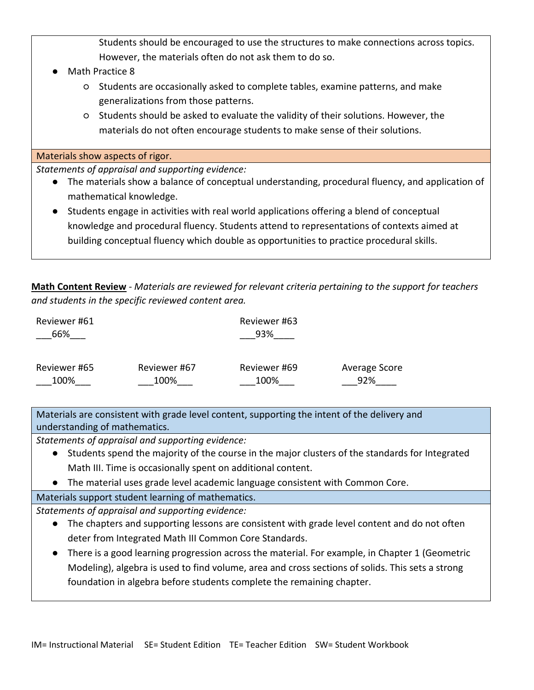Students should be encouraged to use the structures to make connections across topics. However, the materials often do not ask them to do so.

- Math Practice 8
	- Students are occasionally asked to complete tables, examine patterns, and make generalizations from those patterns.
	- Students should be asked to evaluate the validity of their solutions. However, the materials do not often encourage students to make sense of their solutions.

Materials show aspects of rigor.

*Statements of appraisal and supporting evidence:*

- The materials show a balance of conceptual understanding, procedural fluency, and application of mathematical knowledge.
- Students engage in activities with real world applications offering a blend of conceptual knowledge and procedural fluency. Students attend to representations of contexts aimed at building conceptual fluency which double as opportunities to practice procedural skills.

**Math Content Review** - *Materials are reviewed for relevant criteria pertaining to the support for teachers and students in the specific reviewed content area.*

| Reviewer #61 |              | Reviewer #63 |               |  |
|--------------|--------------|--------------|---------------|--|
| 66%          |              | 93%          |               |  |
|              |              |              |               |  |
| Reviewer #65 | Reviewer #67 | Reviewer #69 | Average Score |  |
| 100%         | 100%         | 100%         | 92%           |  |

Materials are consistent with grade level content, supporting the intent of the delivery and understanding of mathematics.

*Statements of appraisal and supporting evidence:*

- Students spend the majority of the course in the major clusters of the standards for Integrated Math III. Time is occasionally spent on additional content.
- The material uses grade level academic language consistent with Common Core.

Materials support student learning of mathematics.

*Statements of appraisal and supporting evidence:*

- The chapters and supporting lessons are consistent with grade level content and do not often deter from Integrated Math III Common Core Standards.
- There is a good learning progression across the material. For example, in Chapter 1 (Geometric Modeling), algebra is used to find volume, area and cross sections of solids. This sets a strong foundation in algebra before students complete the remaining chapter.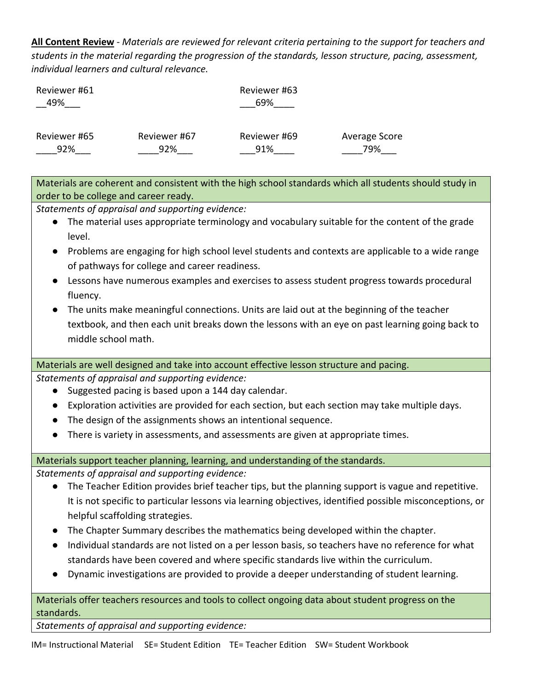**All Content Review** - *Materials are reviewed for relevant criteria pertaining to the support for teachers and students in the material regarding the progression of the standards, lesson structure, pacing, assessment, individual learners and cultural relevance.*

| Reviewer #61<br>49% |              | Reviewer #63<br>69% |               |
|---------------------|--------------|---------------------|---------------|
| Reviewer #65        | Reviewer #67 | Reviewer #69        | Average Score |
| 92%                 | 92%          | 91%                 | 79%           |

Materials are coherent and consistent with the high school standards which all students should study in order to be college and career ready.

*Statements of appraisal and supporting evidence:*

- The material uses appropriate terminology and vocabulary suitable for the content of the grade level.
- Problems are engaging for high school level students and contexts are applicable to a wide range of pathways for college and career readiness.
- Lessons have numerous examples and exercises to assess student progress towards procedural fluency.
- The units make meaningful connections. Units are laid out at the beginning of the teacher textbook, and then each unit breaks down the lessons with an eye on past learning going back to middle school math.

Materials are well designed and take into account effective lesson structure and pacing.

*Statements of appraisal and supporting evidence:*

- Suggested pacing is based upon a 144 day calendar.
- Exploration activities are provided for each section, but each section may take multiple days.
- The design of the assignments shows an intentional sequence.
- There is variety in assessments, and assessments are given at appropriate times.

Materials support teacher planning, learning, and understanding of the standards.

*Statements of appraisal and supporting evidence:*

- The Teacher Edition provides brief teacher tips, but the planning support is vague and repetitive. It is not specific to particular lessons via learning objectives, identified possible misconceptions, or helpful scaffolding strategies.
- The Chapter Summary describes the mathematics being developed within the chapter.
- Individual standards are not listed on a per lesson basis, so teachers have no reference for what standards have been covered and where specific standards live within the curriculum.
- Dynamic investigations are provided to provide a deeper understanding of student learning.

Materials offer teachers resources and tools to collect ongoing data about student progress on the standards.

*Statements of appraisal and supporting evidence:*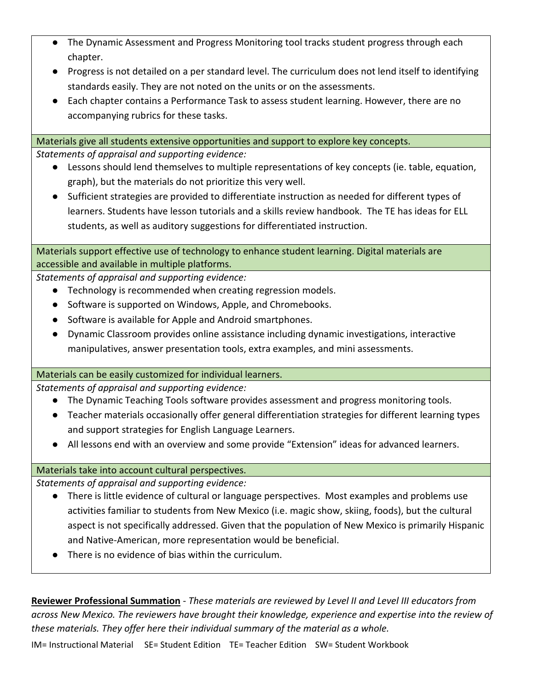- The Dynamic Assessment and Progress Monitoring tool tracks student progress through each chapter.
- Progress is not detailed on a per standard level. The curriculum does not lend itself to identifying standards easily. They are not noted on the units or on the assessments.
- Each chapter contains a Performance Task to assess student learning. However, there are no accompanying rubrics for these tasks.

Materials give all students extensive opportunities and support to explore key concepts.

*Statements of appraisal and supporting evidence:*

- Lessons should lend themselves to multiple representations of key concepts (ie. table, equation, graph), but the materials do not prioritize this very well.
- Sufficient strategies are provided to differentiate instruction as needed for different types of learners. Students have lesson tutorials and a skills review handbook. The TE has ideas for ELL students, as well as auditory suggestions for differentiated instruction.

Materials support effective use of technology to enhance student learning. Digital materials are accessible and available in multiple platforms.

*Statements of appraisal and supporting evidence:*

- Technology is recommended when creating regression models.
- Software is supported on Windows, Apple, and Chromebooks.
- Software is available for Apple and Android smartphones.
- Dynamic Classroom provides online assistance including dynamic investigations, interactive manipulatives, answer presentation tools, extra examples, and mini assessments.

## Materials can be easily customized for individual learners.

*Statements of appraisal and supporting evidence:*

- The Dynamic Teaching Tools software provides assessment and progress monitoring tools.
- Teacher materials occasionally offer general differentiation strategies for different learning types and support strategies for English Language Learners.
- All lessons end with an overview and some provide "Extension" ideas for advanced learners.

## Materials take into account cultural perspectives.

*Statements of appraisal and supporting evidence:*

- There is little evidence of cultural or language perspectives. Most examples and problems use activities familiar to students from New Mexico (i.e. magic show, skiing, foods), but the cultural aspect is not specifically addressed. Given that the population of New Mexico is primarily Hispanic and Native-American, more representation would be beneficial.
- There is no evidence of bias within the curriculum.

**Reviewer Professional Summation** - *These materials are reviewed by Level II and Level III educators from across New Mexico. The reviewers have brought their knowledge, experience and expertise into the review of these materials. They offer here their individual summary of the material as a whole.*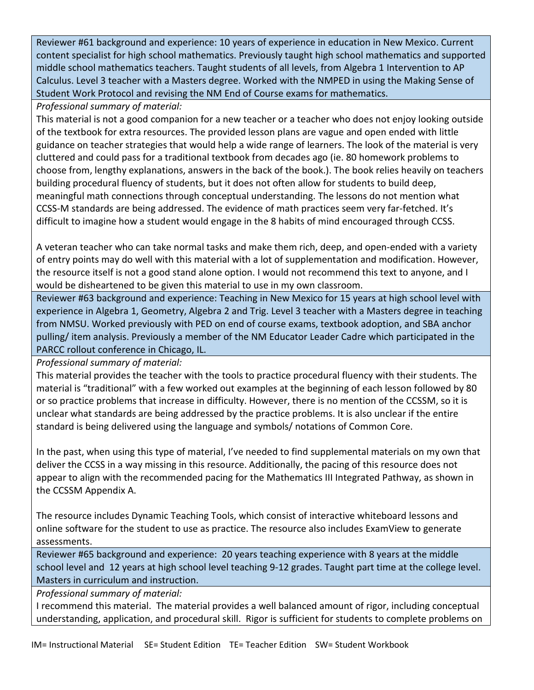Reviewer #61 background and experience: 10 years of experience in education in New Mexico. Current content specialist for high school mathematics. Previously taught high school mathematics and supported middle school mathematics teachers. Taught students of all levels, from Algebra 1 Intervention to AP Calculus. Level 3 teacher with a Masters degree. Worked with the NMPED in using the Making Sense of Student Work Protocol and revising the NM End of Course exams for mathematics.

*Professional summary of material:*

This material is not a good companion for a new teacher or a teacher who does not enjoy looking outside of the textbook for extra resources. The provided lesson plans are vague and open ended with little guidance on teacher strategies that would help a wide range of learners. The look of the material is very cluttered and could pass for a traditional textbook from decades ago (ie. 80 homework problems to choose from, lengthy explanations, answers in the back of the book.). The book relies heavily on teachers building procedural fluency of students, but it does not often allow for students to build deep, meaningful math connections through conceptual understanding. The lessons do not mention what CCSS-M standards are being addressed. The evidence of math practices seem very far-fetched. It's difficult to imagine how a student would engage in the 8 habits of mind encouraged through CCSS.

A veteran teacher who can take normal tasks and make them rich, deep, and open-ended with a variety of entry points may do well with this material with a lot of supplementation and modification. However, the resource itself is not a good stand alone option. I would not recommend this text to anyone, and I would be disheartened to be given this material to use in my own classroom.

Reviewer #63 background and experience: Teaching in New Mexico for 15 years at high school level with experience in Algebra 1, Geometry, Algebra 2 and Trig. Level 3 teacher with a Masters degree in teaching from NMSU. Worked previously with PED on end of course exams, textbook adoption, and SBA anchor pulling/ item analysis. Previously a member of the NM Educator Leader Cadre which participated in the PARCC rollout conference in Chicago, IL.

*Professional summary of material:*

This material provides the teacher with the tools to practice procedural fluency with their students. The material is "traditional" with a few worked out examples at the beginning of each lesson followed by 80 or so practice problems that increase in difficulty. However, there is no mention of the CCSSM, so it is unclear what standards are being addressed by the practice problems. It is also unclear if the entire standard is being delivered using the language and symbols/ notations of Common Core.

In the past, when using this type of material, I've needed to find supplemental materials on my own that deliver the CCSS in a way missing in this resource. Additionally, the pacing of this resource does not appear to align with the recommended pacing for the Mathematics III Integrated Pathway, as shown in the CCSSM Appendix A.

The resource includes Dynamic Teaching Tools, which consist of interactive whiteboard lessons and online software for the student to use as practice. The resource also includes ExamView to generate assessments.

Reviewer #65 background and experience: 20 years teaching experience with 8 years at the middle school level and 12 years at high school level teaching 9-12 grades. Taught part time at the college level. Masters in curriculum and instruction.

*Professional summary of material:*

I recommend this material. The material provides a well balanced amount of rigor, including conceptual understanding, application, and procedural skill. Rigor is sufficient for students to complete problems on